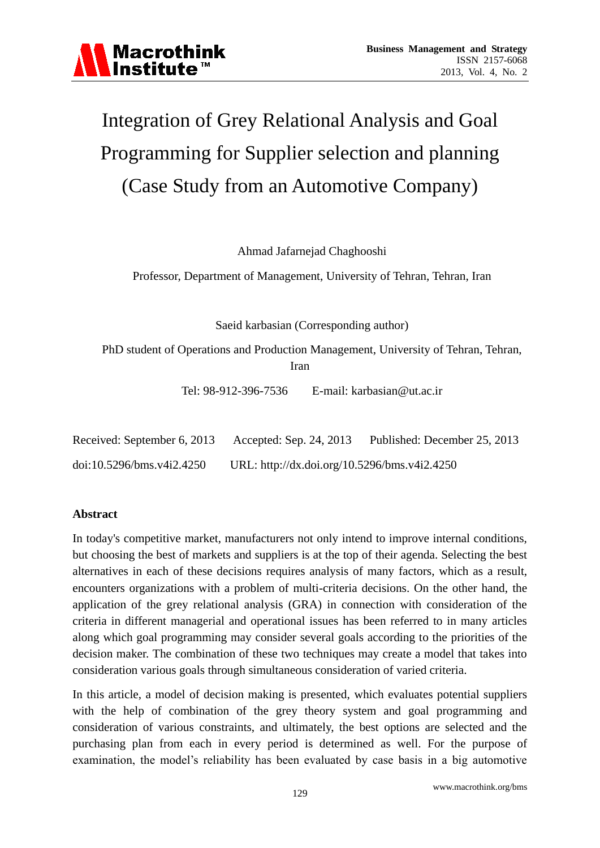

## Integration of Grey Relational Analysis and Goal Programming for Supplier selection and planning (Case Study from an Automotive Company)

Ahmad Jafarnejad Chaghooshi

Professor, Department of Management, University of Tehran, Tehran, Iran

Saeid karbasian (Corresponding author)

PhD student of Operations and Production Management, University of Tehran, Tehran, Iran

Tel: 98-912-396-7536 E-mail: [karbasian@ut.ac.ir](mailto:karbasian@ut.ac.ir)

| Received: September 6, 2013 | Accepted: Sep. 24, 2013                      | Published: December 25, 2013 |
|-----------------------------|----------------------------------------------|------------------------------|
| doi:10.5296/bms.v4i2.4250   | URL: http://dx.doi.org/10.5296/bms.v4i2.4250 |                              |

#### **Abstract**

In today's competitive market, manufacturers not only intend to improve internal conditions, but choosing the best of markets and suppliers is at the top of their agenda. Selecting the best alternatives in each of these decisions requires analysis of many factors, which as a result, encounters organizations with a problem of multi-criteria decisions. On the other hand, the application of the grey relational analysis (GRA) in connection with consideration of the criteria in different managerial and operational issues has been referred to in many articles along which goal programming may consider several goals according to the priorities of the decision maker. The combination of these two techniques may create a model that takes into consideration various goals through simultaneous consideration of varied criteria.

In this article, a model of decision making is presented, which evaluates potential suppliers with the help of combination of the grey theory system and goal programming and consideration of various constraints, and ultimately, the best options are selected and the purchasing plan from each in every period is determined as well. For the purpose of examination, the model's reliability has been evaluated by case basis in a big automotive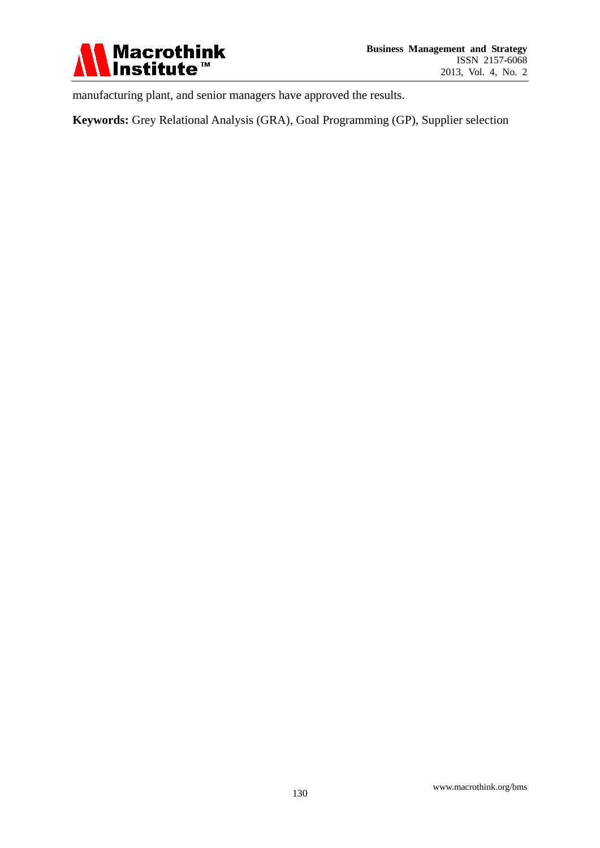

manufacturing plant, and senior managers have approved the results.

**Keywords:** Grey Relational Analysis (GRA), Goal Programming (GP), Supplier selection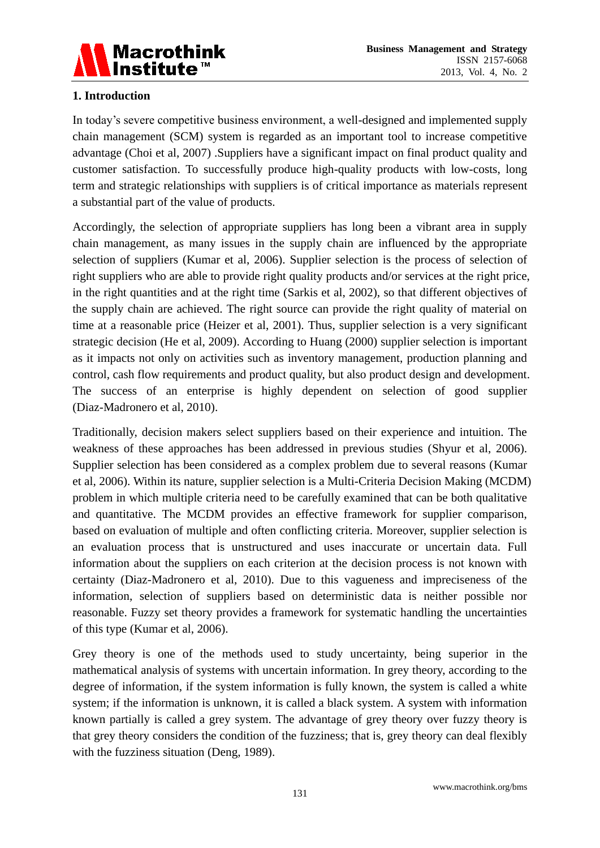

#### **1. Introduction**

In today's severe competitive business environment, a well-designed and implemented supply chain management (SCM) system is regarded as an important tool to increase competitive advantage (Choi et al, 2007) .Suppliers have a significant impact on final product quality and customer satisfaction. To successfully produce high-quality products with low-costs, long term and strategic relationships with suppliers is of critical importance as materials represent a substantial part of the value of products.

Accordingly, the selection of appropriate suppliers has long been a vibrant area in supply chain management, as many issues in the supply chain are influenced by the appropriate selection of suppliers (Kumar et al, 2006). Supplier selection is the process of selection of right suppliers who are able to provide right quality products and/or services at the right price, in the right quantities and at the right time (Sarkis et al, 2002), so that different objectives of the supply chain are achieved. The right source can provide the right quality of material on time at a reasonable price (Heizer et al, 2001). Thus, supplier selection is a very significant strategic decision (He et al, 2009). According to Huang (2000) supplier selection is important as it impacts not only on activities such as inventory management, production planning and control, cash flow requirements and product quality, but also product design and development. The success of an enterprise is highly dependent on selection of good supplier (Diaz-Madronero et al, 2010).

Traditionally, decision makers select suppliers based on their experience and intuition. The weakness of these approaches has been addressed in previous studies (Shyur et al, 2006). Supplier selection has been considered as a complex problem due to several reasons (Kumar et al, 2006). Within its nature, supplier selection is a Multi-Criteria Decision Making (MCDM) problem in which multiple criteria need to be carefully examined that can be both qualitative and quantitative. The MCDM provides an effective framework for supplier comparison, based on evaluation of multiple and often conflicting criteria. Moreover, supplier selection is an evaluation process that is unstructured and uses inaccurate or uncertain data. Full information about the suppliers on each criterion at the decision process is not known with certainty (Diaz-Madronero et al, 2010). Due to this vagueness and impreciseness of the information, selection of suppliers based on deterministic data is neither possible nor reasonable. Fuzzy set theory provides a framework for systematic handling the uncertainties of this type (Kumar et al, 2006).

Grey theory is one of the methods used to study uncertainty, being superior in the mathematical analysis of systems with uncertain information. In grey theory, according to the degree of information, if the system information is fully known, the system is called a white system; if the information is unknown, it is called a black system. A system with information known partially is called a grey system. The advantage of grey theory over fuzzy theory is that grey theory considers the condition of the fuzziness; that is, grey theory can deal flexibly with the fuzziness situation (Deng, 1989).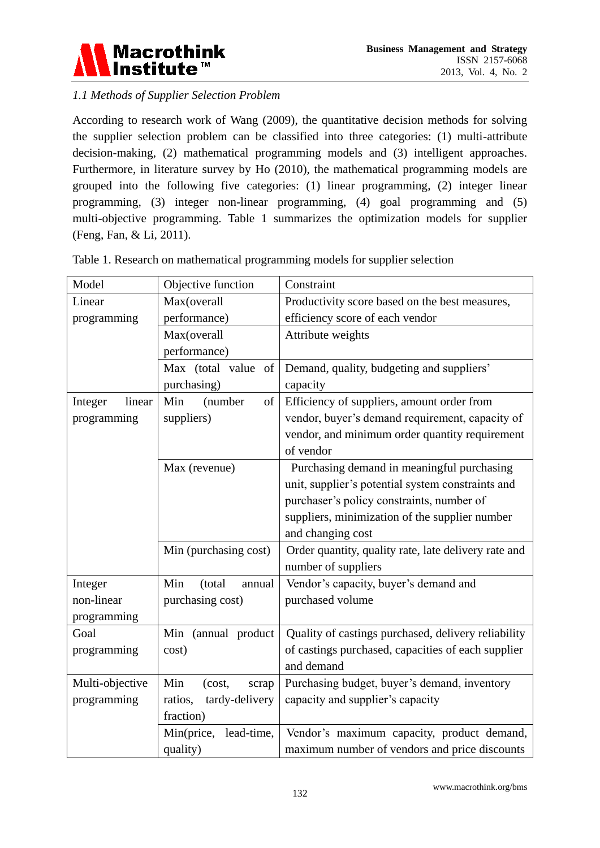

#### *1.1 Methods of Supplier Selection Problem*

According to research work of Wang (2009), the quantitative decision methods for solving the supplier selection problem can be classified into three categories: (1) multi-attribute decision-making, (2) mathematical programming models and (3) intelligent approaches. Furthermore, in literature survey by Ho (2010), the mathematical programming models are grouped into the following five categories: (1) linear programming, (2) integer linear programming, (3) integer non-linear programming, (4) goal programming and (5) multi-objective programming. Table 1 summarizes the optimization models for supplier (Feng, Fan, & Li, 2011).

| Model             | Objective function        | Constraint                                           |  |  |
|-------------------|---------------------------|------------------------------------------------------|--|--|
| Linear            | Max(overall               | Productivity score based on the best measures,       |  |  |
| programming       | performance)              | efficiency score of each vendor                      |  |  |
|                   | Max(overall               | Attribute weights                                    |  |  |
|                   | performance)              |                                                      |  |  |
|                   | Max (total value of       | Demand, quality, budgeting and suppliers'            |  |  |
|                   | purchasing)               | capacity                                             |  |  |
| linear<br>Integer | (number<br>of<br>Min      | Efficiency of suppliers, amount order from           |  |  |
| programming       | suppliers)                | vendor, buyer's demand requirement, capacity of      |  |  |
|                   |                           | vendor, and minimum order quantity requirement       |  |  |
|                   |                           | of vendor                                            |  |  |
|                   | Max (revenue)             | Purchasing demand in meaningful purchasing           |  |  |
|                   |                           | unit, supplier's potential system constraints and    |  |  |
|                   |                           | purchaser's policy constraints, number of            |  |  |
|                   |                           | suppliers, minimization of the supplier number       |  |  |
|                   |                           | and changing cost                                    |  |  |
|                   | Min (purchasing cost)     | Order quantity, quality rate, late delivery rate and |  |  |
|                   |                           | number of suppliers                                  |  |  |
| Integer           | Min<br>(total<br>annual   | Vendor's capacity, buyer's demand and                |  |  |
| non-linear        | purchasing cost)          | purchased volume                                     |  |  |
| programming       |                           |                                                      |  |  |
| Goal              | Min (annual product       | Quality of castings purchased, delivery reliability  |  |  |
| programming       | cost)                     | of castings purchased, capacities of each supplier   |  |  |
|                   |                           | and demand                                           |  |  |
| Multi-objective   | Min<br>(cost,<br>scrap    | Purchasing budget, buyer's demand, inventory         |  |  |
| programming       | tardy-delivery<br>ratios, | capacity and supplier's capacity                     |  |  |
|                   | fraction)                 |                                                      |  |  |
|                   | Min(price,<br>lead-time,  | Vendor's maximum capacity, product demand,           |  |  |
|                   | quality)                  | maximum number of vendors and price discounts        |  |  |

Table 1. Research on mathematical programming models for supplier selection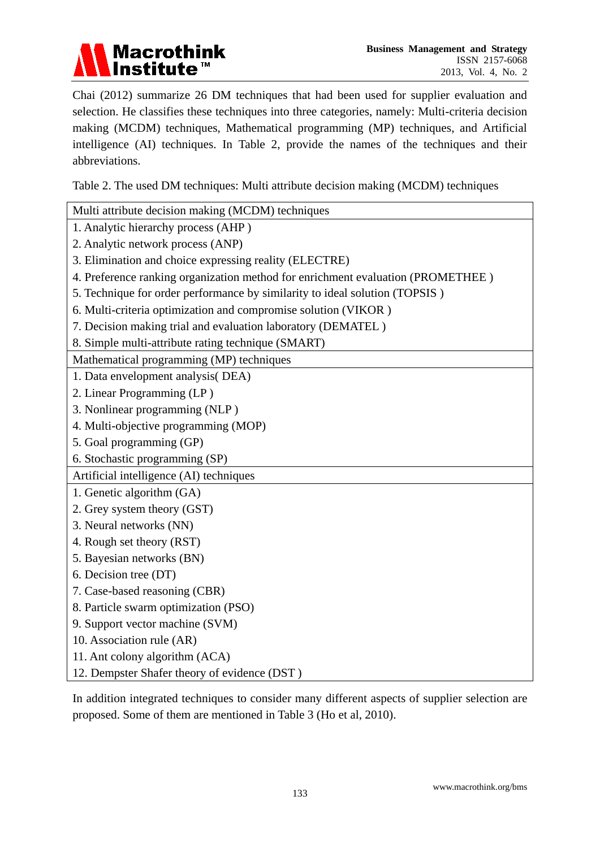# Macrothink<br>Institute™

Chai (2012) summarize 26 DM techniques that had been used for supplier evaluation and selection. He classifies these techniques into three categories, namely: Multi-criteria decision making (MCDM) techniques, Mathematical programming (MP) techniques, and Artificial intelligence (AI) techniques. In Table 2, provide the names of the techniques and their abbreviations.

Table 2. The used DM techniques: Multi attribute decision making (MCDM) techniques

| Multi attribute decision making (MCDM) techniques                               |
|---------------------------------------------------------------------------------|
| 1. Analytic hierarchy process (AHP)                                             |
| 2. Analytic network process (ANP)                                               |
| 3. Elimination and choice expressing reality (ELECTRE)                          |
| 4. Preference ranking organization method for enrichment evaluation (PROMETHEE) |
| 5. Technique for order performance by similarity to ideal solution (TOPSIS)     |
| 6. Multi-criteria optimization and compromise solution (VIKOR)                  |
| 7. Decision making trial and evaluation laboratory (DEMATEL)                    |
| 8. Simple multi-attribute rating technique (SMART)                              |
| Mathematical programming (MP) techniques                                        |
| 1. Data envelopment analysis (DEA)                                              |
| 2. Linear Programming (LP)                                                      |
| 3. Nonlinear programming (NLP)                                                  |
| 4. Multi-objective programming (MOP)                                            |
| 5. Goal programming (GP)                                                        |
| 6. Stochastic programming (SP)                                                  |
| Artificial intelligence (AI) techniques                                         |
| 1. Genetic algorithm (GA)                                                       |
| 2. Grey system theory (GST)                                                     |
| 3. Neural networks (NN)                                                         |
| 4. Rough set theory (RST)                                                       |
| 5. Bayesian networks (BN)                                                       |
| 6. Decision tree (DT)                                                           |
| 7. Case-based reasoning (CBR)                                                   |
| 8. Particle swarm optimization (PSO)                                            |
| 9. Support vector machine (SVM)                                                 |
| 10. Association rule (AR)                                                       |
| 11. Ant colony algorithm (ACA)                                                  |
| 12. Dempster Shafer theory of evidence (DST)                                    |

In addition integrated techniques to consider many different aspects of supplier selection are proposed. Some of them are mentioned in Table 3 (Ho et al, 2010).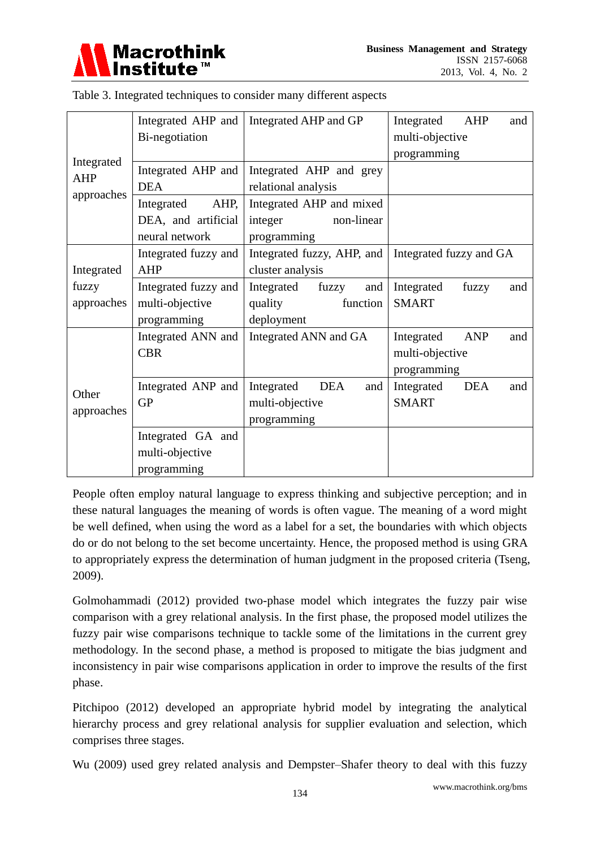

|            | Integrated AHP and   | Integrated AHP and GP      | Integrated<br>AHP<br>and        |
|------------|----------------------|----------------------------|---------------------------------|
|            | Bi-negotiation       |                            | multi-objective                 |
|            |                      |                            | programming                     |
| Integrated | Integrated AHP and   | Integrated AHP and grey    |                                 |
| <b>AHP</b> | <b>DEA</b>           | relational analysis        |                                 |
| approaches | AHP,<br>Integrated   | Integrated AHP and mixed   |                                 |
|            | DEA, and artificial  | integer<br>non-linear      |                                 |
|            | neural network       | programming                |                                 |
|            | Integrated fuzzy and | Integrated fuzzy, AHP, and | Integrated fuzzy and GA         |
| Integrated | <b>AHP</b>           | cluster analysis           |                                 |
| fuzzy      | Integrated fuzzy and | Integrated<br>fuzzy<br>and | Integrated<br>fuzzy<br>and      |
| approaches | multi-objective      | function<br>quality        | <b>SMART</b>                    |
|            | programming          | deployment                 |                                 |
|            | Integrated ANN and   | Integrated ANN and GA      | ANP<br>Integrated<br>and        |
|            | <b>CBR</b>           |                            | multi-objective                 |
|            |                      |                            | programming                     |
|            | Integrated ANP and   | Integrated<br>DEA<br>and   | Integrated<br><b>DEA</b><br>and |
| Other      | <b>GP</b>            | multi-objective            | <b>SMART</b>                    |
| approaches |                      | programming                |                                 |
|            | Integrated GA and    |                            |                                 |
|            | multi-objective      |                            |                                 |
|            | programming          |                            |                                 |

#### Table 3. Integrated techniques to consider many different aspects

People often employ natural language to express thinking and subjective perception; and in these natural languages the meaning of words is often vague. The meaning of a word might be well defined, when using the word as a label for a set, the boundaries with which objects do or do not belong to the set become uncertainty. Hence, the proposed method is using GRA to appropriately express the determination of human judgment in the proposed criteria (Tseng, 2009).

Golmohammadi (2012) provided two-phase model which integrates the fuzzy pair wise comparison with a grey relational analysis. In the first phase, the proposed model utilizes the fuzzy pair wise comparisons technique to tackle some of the limitations in the current grey methodology. In the second phase, a method is proposed to mitigate the bias judgment and inconsistency in pair wise comparisons application in order to improve the results of the first phase.

Pitchipoo (2012) developed an appropriate hybrid model by integrating the analytical hierarchy process and grey relational analysis for supplier evaluation and selection, which comprises three stages.

Wu (2009) used grey related analysis and Dempster–Shafer theory to deal with this fuzzy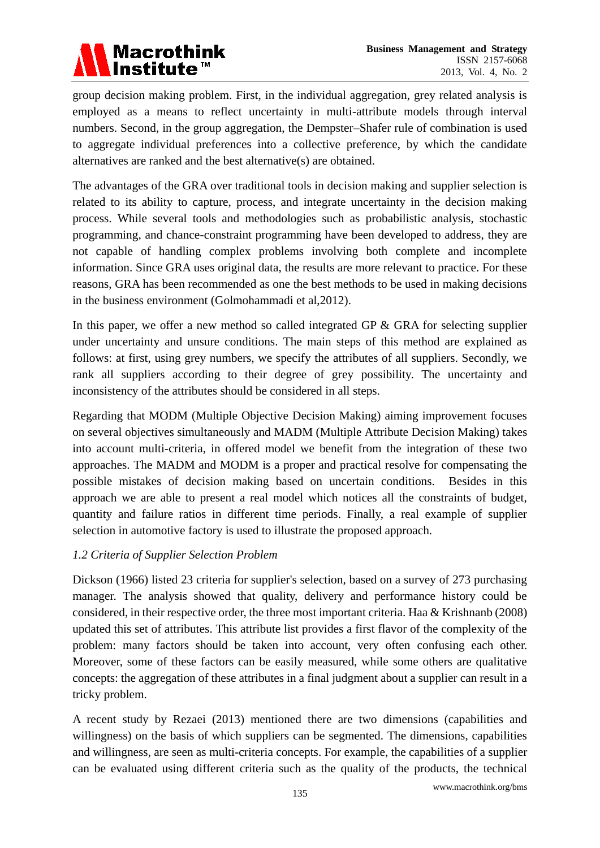

group decision making problem. First, in the individual aggregation, grey related analysis is employed as a means to reflect uncertainty in multi-attribute models through interval numbers. Second, in the group aggregation, the Dempster–Shafer rule of combination is used to aggregate individual preferences into a collective preference, by which the candidate alternatives are ranked and the best alternative(s) are obtained.

The advantages of the GRA over traditional tools in decision making and supplier selection is related to its ability to capture, process, and integrate uncertainty in the decision making process. While several tools and methodologies such as probabilistic analysis, stochastic programming, and chance-constraint programming have been developed to address, they are not capable of handling complex problems involving both complete and incomplete information. Since GRA uses original data, the results are more relevant to practice. For these reasons, GRA has been recommended as one the best methods to be used in making decisions in the business environment (Golmohammadi et al,2012).

In this paper, we offer a new method so called integrated GP & GRA for selecting supplier under uncertainty and unsure conditions. The main steps of this method are explained as follows: at first, using grey numbers, we specify the attributes of all suppliers. Secondly, we rank all suppliers according to their degree of grey possibility. The uncertainty and inconsistency of the attributes should be considered in all steps.

Regarding that MODM (Multiple Objective Decision Making) aiming improvement focuses on several objectives simultaneously and MADM (Multiple Attribute Decision Making) takes into account multi-criteria, in offered model we benefit from the integration of these two approaches. The MADM and MODM is a proper and practical resolve for compensating the possible mistakes of decision making based on uncertain conditions. Besides in this approach we are able to present a real model which notices all the constraints of budget, quantity and failure ratios in different time periods. Finally, a real example of supplier selection in automotive factory is used to illustrate the proposed approach.

#### *1.2 Criteria of Supplier Selection Problem*

Dickson (1966) listed 23 criteria for supplier's selection, based on a survey of 273 purchasing manager. The analysis showed that quality, delivery and performance history could be considered, in their respective order, the three most important criteria. Haa & Krishnanb (2008) updated this set of attributes. This attribute list provides a first flavor of the complexity of the problem: many factors should be taken into account, very often confusing each other. Moreover, some of these factors can be easily measured, while some others are qualitative concepts: the aggregation of these attributes in a final judgment about a supplier can result in a tricky problem.

A recent study by Rezaei (2013) mentioned there are two dimensions (capabilities and willingness) on the basis of which suppliers can be segmented. The dimensions, capabilities and willingness, are seen as multi-criteria concepts. For example, the capabilities of a supplier can be evaluated using different criteria such as the quality of the products, the technical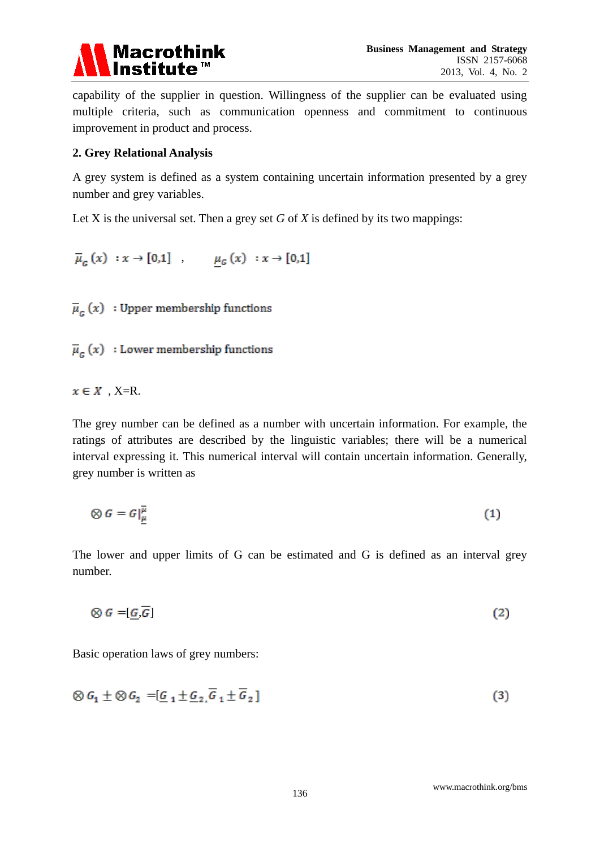

capability of the supplier in question. Willingness of the supplier can be evaluated using multiple criteria, such as communication openness and commitment to continuous improvement in product and process.

#### **2. Grey Relational Analysis**

A grey system is defined as a system containing uncertain information presented by a grey number and grey variables.

Let X is the universal set. Then a grey set  $G$  of  $X$  is defined by its two mappings:

$$
\overline{\mu}_G(x) : x \to [0,1] , \qquad \mu_G(x) : x \to [0,1]
$$

 $\overline{\mu}_c(x)$  : Upper membership functions

 $\overline{\mu}_c(x)$  : Lower membership functions

#### $x \in X$ , X=R.

The grey number can be defined as a number with uncertain information. For example, the ratings of attributes are described by the linguistic variables; there will be a numerical interval expressing it. This numerical interval will contain uncertain information. Generally, grey number is written as

$$
\otimes G = G|_{\underline{\mu}}^{\overline{\mu}} \tag{1}
$$

The lower and upper limits of G can be estimated and G is defined as an interval grey number.

$$
\otimes G = [\underline{G}, \overline{G}] \tag{2}
$$

Basic operation laws of grey numbers:

$$
\otimes G_1 \pm \otimes G_2 = [G_1 \pm G_2, \overline{G}_1 \pm \overline{G}_2]
$$
\n(3)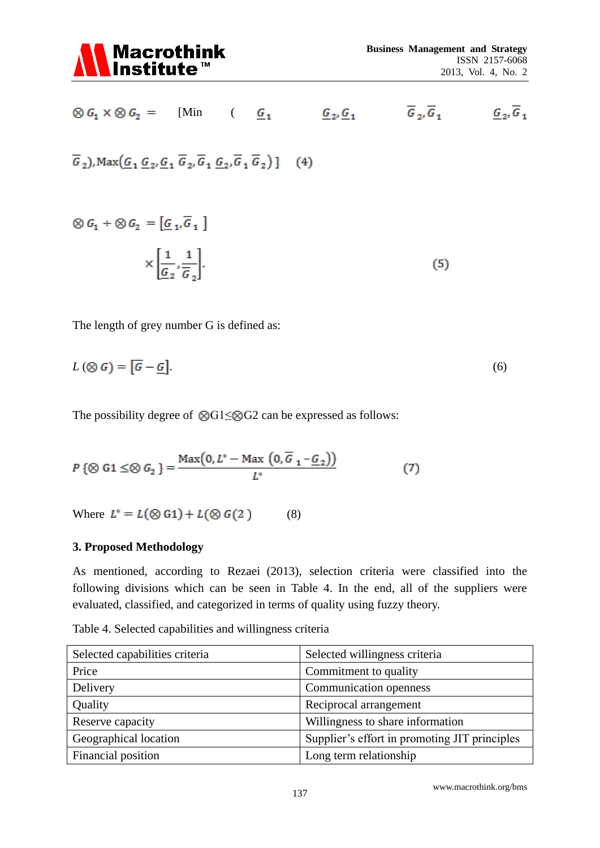

$$
\otimes G_1 \times \otimes G_2 = [\text{Min} \quad (\underline{G}_1 \quad \underline{G}_2, \underline{G}_1 \quad \overline{G}_2, \overline{G}_1 \quad \underline{G}_2, \overline{G}_1 \quad \underline{G}_2, \overline{G}_1]
$$
  

$$
\overline{G}_2), \text{Max}(\underline{G}_1 \underline{G}_2, \underline{G}_1 \overline{G}_2, \overline{G}_1 \underline{G}_2, \overline{G}_1 \overline{G}_2)] \quad (4)
$$
  

$$
\otimes G_1 \div \otimes G_2 = [\underline{G}_1, \overline{G}_1]
$$
  

$$
\times [\underline{\frac{1}{G_2}, \frac{1}{\overline{G}_2}}]. \qquad (5)
$$

The length of grey number G is defined as:

$$
L\left(\otimes G\right) = \left[\overline{G} - \underline{G}\right].\tag{6}
$$

The possibility degree of  $\otimes$ G1≤ $\otimes$ G2 can be expressed as follows:

$$
P\{\otimes \text{G1} \leq \otimes G_2\} = \frac{\text{Max}\big(0, L^* - \text{Max}\big(0, \overline{G}_1 - \underline{G}_2\big)\big)}{L^*} \tag{7}
$$

Where  $L^* = L(\otimes G1) + L(\otimes G(2))$  (8)

#### **3. Proposed Methodology**

As mentioned, according to Rezaei (2013), selection criteria were classified into the following divisions which can be seen in Table 4. In the end, all of the suppliers were evaluated, classified, and categorized in terms of quality using fuzzy theory.

Table 4. Selected capabilities and willingness criteria

| Selected capabilities criteria | Selected willingness criteria                 |
|--------------------------------|-----------------------------------------------|
| Price                          | Commitment to quality                         |
| Delivery                       | Communication openness                        |
| Quality                        | Reciprocal arrangement                        |
| Reserve capacity               | Willingness to share information              |
| Geographical location          | Supplier's effort in promoting JIT principles |
| Financial position             | Long term relationship                        |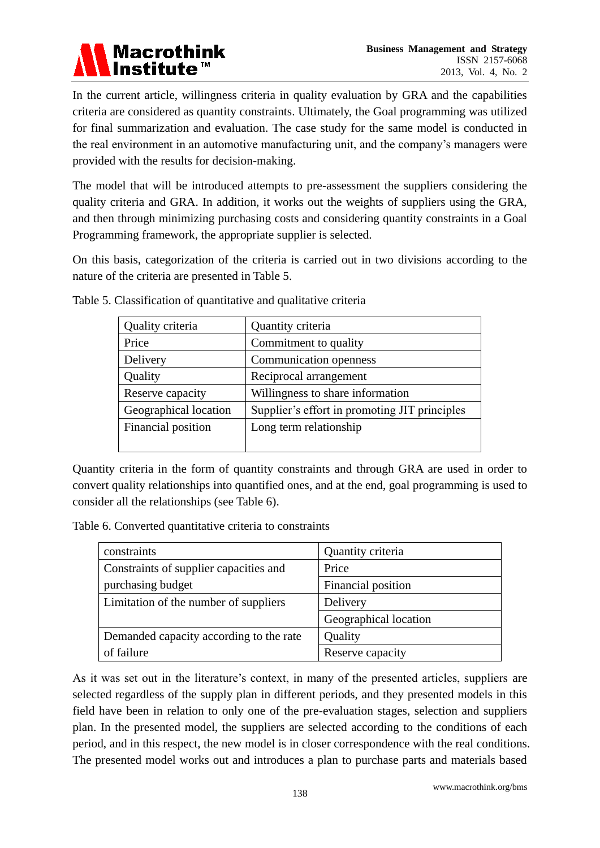

In the current article, willingness criteria in quality evaluation by GRA and the capabilities criteria are considered as quantity constraints. Ultimately, the Goal programming was utilized for final summarization and evaluation. The case study for the same model is conducted in the real environment in an automotive manufacturing unit, and the company's managers were provided with the results for decision-making.

The model that will be introduced attempts to pre-assessment the suppliers considering the quality criteria and GRA. In addition, it works out the weights of suppliers using the GRA, and then through minimizing purchasing costs and considering quantity constraints in a Goal Programming framework, the appropriate supplier is selected.

On this basis, categorization of the criteria is carried out in two divisions according to the nature of the criteria are presented in Table 5.

| Quality criteria      | Quantity criteria                             |
|-----------------------|-----------------------------------------------|
| Price                 | Commitment to quality                         |
| Delivery              | Communication openness                        |
| Quality               | Reciprocal arrangement                        |
| Reserve capacity      | Willingness to share information              |
| Geographical location | Supplier's effort in promoting JIT principles |
| Financial position    | Long term relationship                        |
|                       |                                               |

Table 5. Classification of quantitative and qualitative criteria

Quantity criteria in the form of quantity constraints and through GRA are used in order to convert quality relationships into quantified ones, and at the end, goal programming is used to consider all the relationships (see Table 6).

Table 6. Converted quantitative criteria to constraints

| constraints                             | Quantity criteria     |
|-----------------------------------------|-----------------------|
| Constraints of supplier capacities and  | Price                 |
| purchasing budget                       | Financial position    |
| Limitation of the number of suppliers   | Delivery              |
|                                         | Geographical location |
| Demanded capacity according to the rate | Quality               |
| of failure                              | Reserve capacity      |

As it was set out in the literature's context, in many of the presented articles, suppliers are selected regardless of the supply plan in different periods, and they presented models in this field have been in relation to only one of the pre-evaluation stages, selection and suppliers plan. In the presented model, the suppliers are selected according to the conditions of each period, and in this respect, the new model is in closer correspondence with the real conditions. The presented model works out and introduces a plan to purchase parts and materials based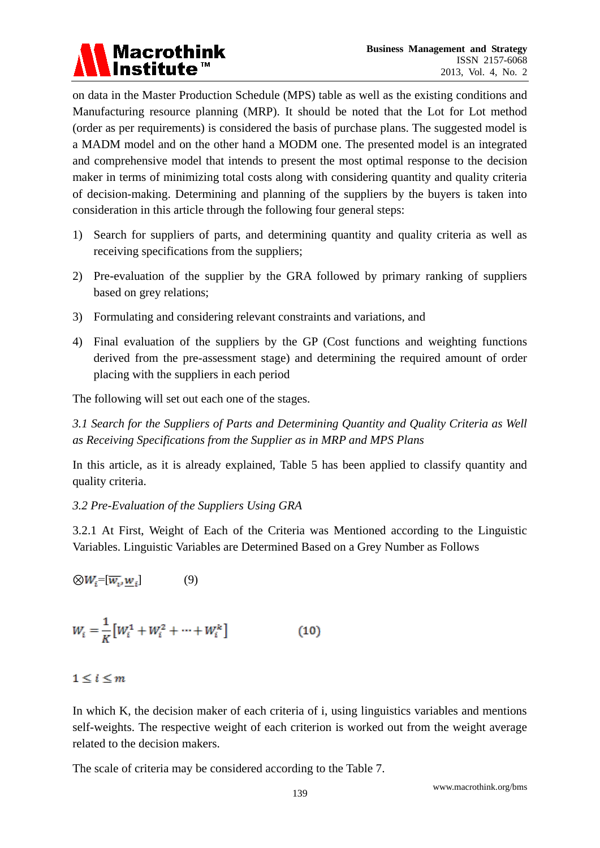

on data in the Master Production Schedule (MPS) table as well as the existing conditions and [Manufacturing resource planning](http://en.wikipedia.org/wiki/Manufacturing_resource_planning) (MRP). It should be noted that the Lot for Lot method (order as per requirements) is considered the basis of purchase plans. The suggested model is a MADM model and on the other hand a MODM one. The presented model is an integrated and comprehensive model that intends to present the most optimal response to the decision maker in terms of minimizing total costs along with considering quantity and quality criteria of decision-making. Determining and planning of the suppliers by the buyers is taken into consideration in this article through the following four general steps:

- 1) Search for suppliers of parts, and determining quantity and quality criteria as well as receiving specifications from the suppliers;
- 2) Pre-evaluation of the supplier by the GRA followed by primary ranking of suppliers based on grey relations;
- 3) Formulating and considering relevant constraints and variations, and
- 4) Final evaluation of the suppliers by the GP (Cost functions and weighting functions derived from the pre-assessment stage) and determining the required amount of order placing with the suppliers in each period

The following will set out each one of the stages.

*3.1 Search for the Suppliers of Parts and Determining Quantity and Quality Criteria as Well as Receiving Specifications from the Supplier as in MRP and MPS Plans*

In this article, as it is already explained, Table 5 has been applied to classify quantity and quality criteria.

*3.2 Pre-Evaluation of the Suppliers Using GRA*

3.2.1 At First, Weight of Each of the Criteria was Mentioned according to the Linguistic Variables. Linguistic Variables are Determined Based on a Grey Number as Follows

$$
\otimes W_i = [\overline{w_i}, \underline{w}_i] \tag{9}
$$

$$
W_i = \frac{1}{K} \left[ W_i^1 + W_i^2 + \dots + W_i^k \right] \tag{10}
$$

$$
1\leq i\leq m
$$

In which K, the decision maker of each criteria of i, using linguistics variables and mentions self-weights. The respective weight of each criterion is worked out from the weight average related to the decision makers.

The scale of criteria may be considered according to the Table 7.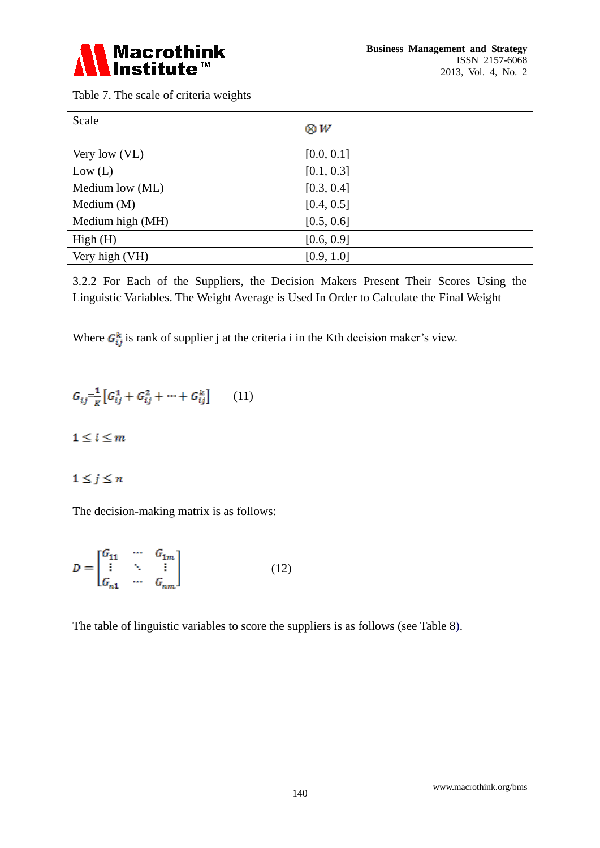

| Table 7. The scale of criteria weights |  |  |  |  |
|----------------------------------------|--|--|--|--|
|----------------------------------------|--|--|--|--|

| Scale            | $\otimes w$ |
|------------------|-------------|
| Very low (VL)    | [0.0, 0.1]  |
| Low (L)          | [0.1, 0.3]  |
| Medium low (ML)  | [0.3, 0.4]  |
| Medium $(M)$     | [0.4, 0.5]  |
| Medium high (MH) | [0.5, 0.6]  |
| High(H)          | [0.6, 0.9]  |
| Very high (VH)   | [0.9, 1.0]  |

3.2.2 For Each of the Suppliers, the Decision Makers Present Their Scores Using the Linguistic Variables. The Weight Average is Used In Order to Calculate the Final Weight

Where  $G_{ij}^k$  is rank of supplier j at the criteria i in the Kth decision maker's view.

 $G_{ij} = \frac{1}{\kappa} \left[ G_{ij}^1 + G_{ij}^2 + \cdots + G_{ij}^k \right] \qquad (11)$ 

 $1\leq i\leq m$ 

 $1\leq j\leq n$ 

The decision-making matrix is as follows:

$$
D = \begin{bmatrix} G_{11} & \cdots & G_{1m} \\ \vdots & \ddots & \vdots \\ G_{n1} & \cdots & G_{nm} \end{bmatrix}
$$
 (12)

The table of linguistic variables to score the suppliers is as follows (see Table 8).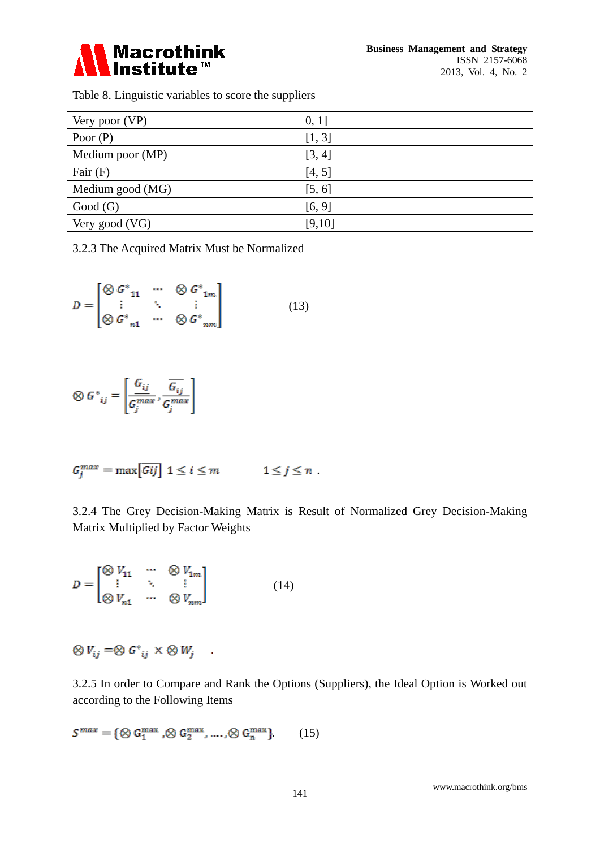

Table 8. Linguistic variables to score the suppliers

| Very poor (VP)   | $0, 1$ ] |
|------------------|----------|
| Poor $(P)$       | [1, 3]   |
| Medium poor (MP) | [3, 4]   |
| Fair $(F)$       | [4, 5]   |
| Medium good (MG) | [5, 6]   |
| Good(G)          | [6, 9]   |
| Very good (VG)   | [9,10]   |

3.2.3 The Acquired Matrix Must be Normalized

$$
D = \begin{bmatrix} \otimes G^*_{11} & \cdots & \otimes G^*_{1m} \\ \vdots & \ddots & \vdots \\ \otimes G^*_{n1} & \cdots & \otimes G^*_{nm} \end{bmatrix}
$$
 (13)

$$
\otimes G^*_{ij} = \left[\frac{G_{ij}}{G_j^{max}}, \frac{\overline{G_{ij}}}{G_j^{max}}\right]
$$

$$
G_j^{max} = \max[\overline{Gij}] \ 1 \leq i \leq m \qquad 1 \leq j \leq n .
$$

3.2.4 The Grey Decision-Making Matrix is Result of Normalized Grey Decision-Making Matrix Multiplied by Factor Weights

$$
D = \begin{bmatrix} \otimes V_{11} & \cdots & \otimes V_{1m} \\ \vdots & \ddots & \vdots \\ \otimes V_{n1} & \cdots & \otimes V_{nm} \end{bmatrix}
$$
 (14)

$$
\otimes V_{ij} = \otimes G^*_{ij} \times \otimes W_j \quad .
$$

3.2.5 In order to Compare and Rank the Options (Suppliers), the Ideal Option is Worked out according to the Following Items

$$
S^{max} = \{ \otimes G_1^{max}, \otimes G_2^{max}, \dots, \otimes G_n^{max} \} \qquad (15)
$$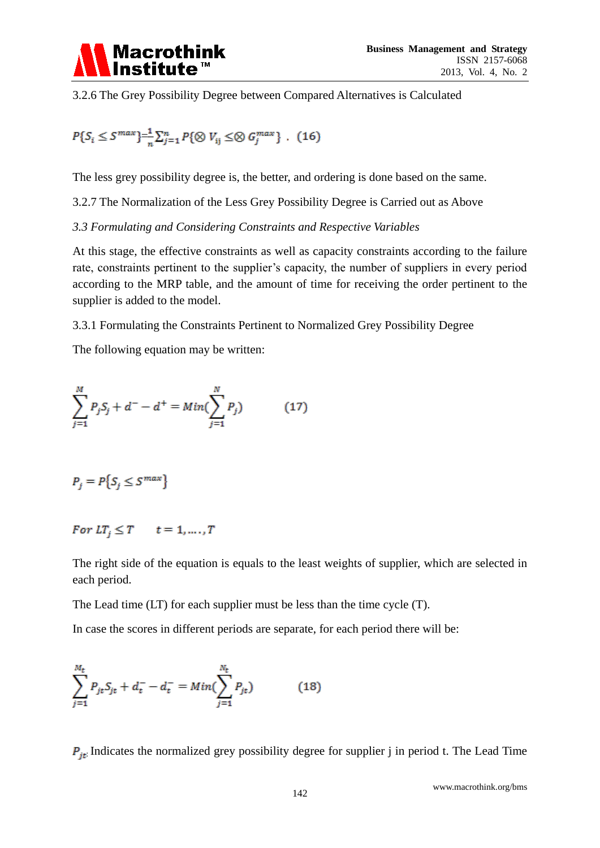

3.2.6 The Grey Possibility Degree between Compared Alternatives is Calculated

$$
P\{S_i \le S^{max}\} = \frac{1}{n} \sum_{j=1}^n P\{\otimes V_{ij} \le \otimes G_j^{max}\} \tag{16}
$$

The less grey possibility degree is, the better, and ordering is done based on the same.

3.2.7 The Normalization of the Less Grey Possibility Degree is Carried out as Above

*3.3 Formulating and Considering Constraints and Respective Variables*

At this stage, the effective constraints as well as capacity constraints according to the failure rate, constraints pertinent to the supplier's capacity, the number of suppliers in every period according to the MRP table, and the amount of time for receiving the order pertinent to the supplier is added to the model.

3.3.1 Formulating the Constraints Pertinent to Normalized Grey Possibility Degree

The following equation may be written:

$$
\sum_{j=1}^{M} P_j S_j + d^- - d^+ = Min(\sum_{j=1}^{N} P_j)
$$
 (17)

$$
P_j = P\big\{S_j \leq S^{max}\big\}
$$

$$
For LT_i \leq T \qquad t = 1, \dots, T
$$

The right side of the equation is equals to the least weights of supplier, which are selected in each period.

The Lead time (LT) for each supplier must be less than the time cycle (T).

In case the scores in different periods are separate, for each period there will be:

$$
\sum_{j=1}^{M_t} P_{jt} S_{jt} + d_t^- - d_t^- = Min(\sum_{j=1}^{N_t} P_{jt})
$$
 (18)

 $P_{jt}$ : Indicates the normalized grey possibility degree for supplier j in period t. The Lead Time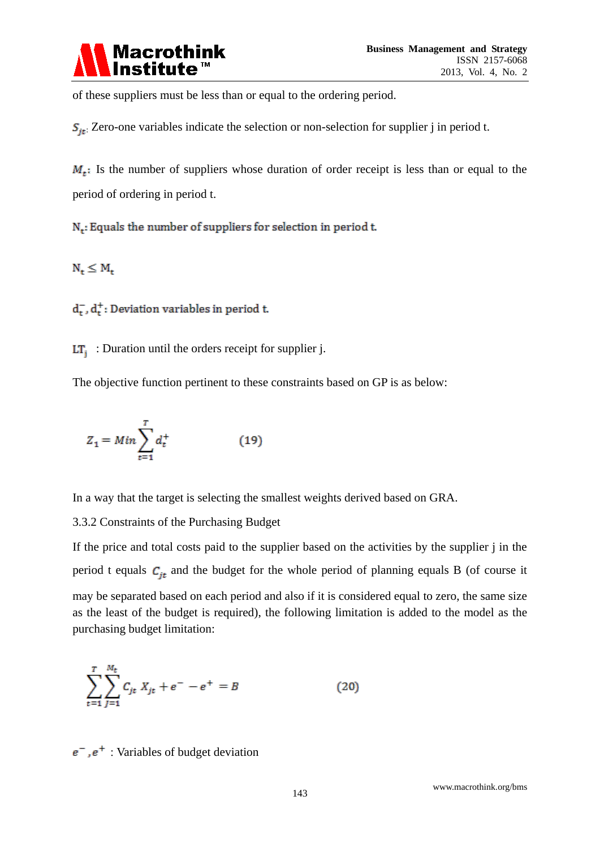

of these suppliers must be less than or equal to the ordering period.

 $S_{it}$ : Zero-one variables indicate the selection or non-selection for supplier j in period t.

 $M_t$ : Is the number of suppliers whose duration of order receipt is less than or equal to the period of ordering in period t.

N<sub>r</sub>: Equals the number of suppliers for selection in period t.

 $N_t \leq M_t$ 

 $d_{t}^{-}$ ,  $d_{t}^{+}$ : Deviation variables in period t.

 $LT_i$ : Duration until the orders receipt for supplier j.

The objective function pertinent to these constraints based on GP is as below:

$$
Z_1 = Min \sum_{t=1}^{T} d_t^+ \tag{19}
$$

In a way that the target is selecting the smallest weights derived based on GRA.

3.3.2 Constraints of the Purchasing Budget

If the price and total costs paid to the supplier based on the activities by the supplier j in the period t equals  $C_{jt}$  and the budget for the whole period of planning equals B (of course it may be separated based on each period and also if it is considered equal to zero, the same size as the least of the budget is required), the following limitation is added to the model as the purchasing budget limitation:

$$
\sum_{t=1}^{T} \sum_{j=1}^{M_t} C_{jt} X_{jt} + e^- - e^+ = B \tag{20}
$$

 $e^-$ ,  $e^+$ : Variables of budget deviation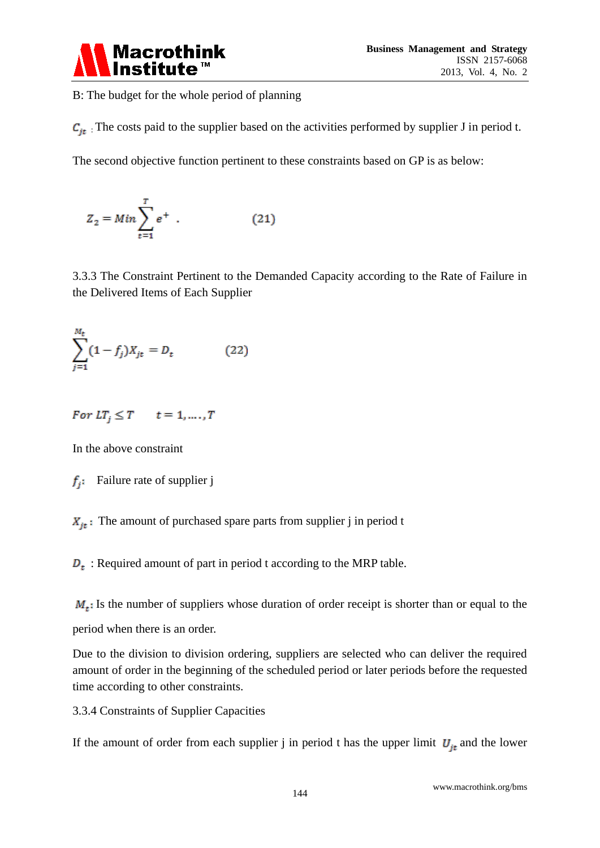

B: The budget for the whole period of planning

 $C_{it}$ : The costs paid to the supplier based on the activities performed by supplier J in period t.

The second objective function pertinent to these constraints based on GP is as below:

$$
Z_2 = Min \sum_{t=1}^{T} e^+ \tag{21}
$$

3.3.3 The Constraint Pertinent to the Demanded Capacity according to the Rate of Failure in the Delivered Items of Each Supplier

$$
\sum_{j=1}^{M_t} (1 - f_j) X_{jt} = D_t \tag{22}
$$

$$
For LTi \leq T \qquad t = 1, \dots, T
$$

In the above constraint

 $f_i$ : Failure rate of supplier j

 $X_{it}$ : The amount of purchased spare parts from supplier j in period t

 $D_t$ : Required amount of part in period t according to the MRP table.

 $M_t$ : Is the number of suppliers whose duration of order receipt is shorter than or equal to the

period when there is an order.

Due to the division to division ordering, suppliers are selected who can deliver the required amount of order in the beginning of the scheduled period or later periods before the requested time according to other constraints.

3.3.4 Constraints of Supplier Capacities

If the amount of order from each supplier j in period t has the upper limit  $U_{jt}$  and the lower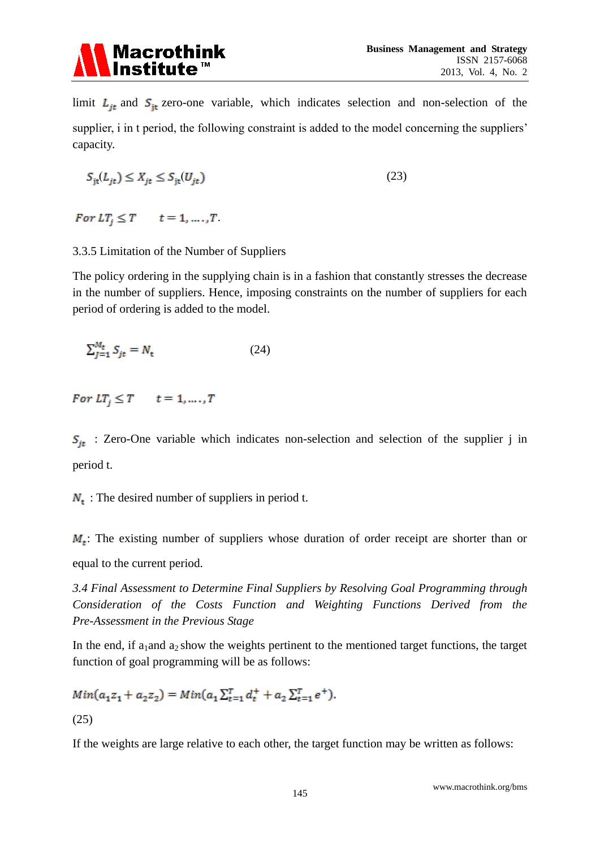

limit  $L_{jt}$  and  $S_{jt}$  zero-one variable, which indicates selection and non-selection of the supplier, i in t period, the following constraint is added to the model concerning the suppliers' capacity.

$$
S_{\rm it}(L_{jt}) \le X_{jt} \le S_{\rm it}(U_{jt})\tag{23}
$$

For  $LT_j \leq T$   $t = 1, ..., T$ .

3.3.5 Limitation of the Number of Suppliers

The policy ordering in the supplying chain is in a fashion that constantly stresses the decrease in the number of suppliers. Hence, imposing constraints on the number of suppliers for each period of ordering is added to the model.

$$
\sum_{j=1}^{M_t} S_{jt} = N_t \tag{24}
$$

For  $LT_i \leq T$   $t = 1, ..., T$ 

 $S_{it}$ : Zero-One variable which indicates non-selection and selection of the supplier j in period t.

 $N_t$ : The desired number of suppliers in period t.

 $M_t$ : The existing number of suppliers whose duration of order receipt are shorter than or equal to the current period.

*3.4 Final Assessment to Determine Final Suppliers by Resolving Goal Programming through Consideration of the Costs Function and Weighting Functions Derived from the Pre-Assessment in the Previous Stage*

In the end, if  $a_1$ and  $a_2$  show the weights pertinent to the mentioned target functions, the target function of goal programming will be as follows:

$$
Min(a_1 z_1 + a_2 z_2) = Min(a_1 \Sigma_{t=1}^T d_t^+ + a_2 \Sigma_{t=1}^T e^+).
$$
\n(25)

If the weights are large relative to each other, the target function may be written as follows: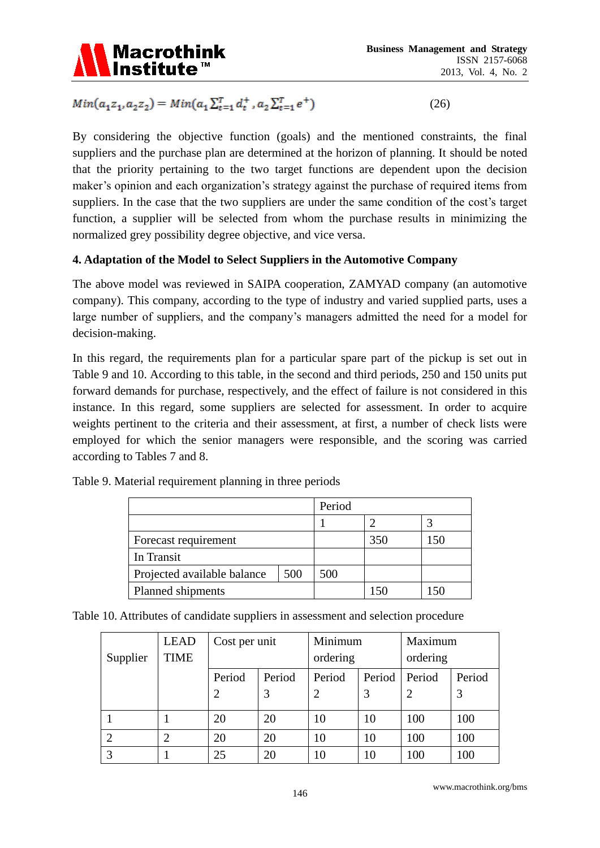

### $Min(a_1z_1, a_2z_2) = Min(a_1\sum_{t=1}^{T} d_t^+, a_2\sum_{t=1}^{T} e^+)$  (26)

By considering the objective function (goals) and the mentioned constraints, the final suppliers and the purchase plan are determined at the horizon of planning. It should be noted that the priority pertaining to the two target functions are dependent upon the decision maker's opinion and each organization's strategy against the purchase of required items from suppliers. In the case that the two suppliers are under the same condition of the cost's target function, a supplier will be selected from whom the purchase results in minimizing the normalized grey possibility degree objective, and vice versa.

#### **4. Adaptation of the Model to Select Suppliers in the Automotive Company**

The above model was reviewed in SAIPA cooperation, ZAMYAD company (an automotive company). This company, according to the type of industry and varied supplied parts, uses a large number of suppliers, and the company's managers admitted the need for a model for decision-making.

In this regard, the requirements plan for a particular spare part of the pickup is set out in Table 9 and 10. According to this table, in the second and third periods, 250 and 150 units put forward demands for purchase, respectively, and the effect of failure is not considered in this instance. In this regard, some suppliers are selected for assessment. In order to acquire weights pertinent to the criteria and their assessment, at first, a number of check lists were employed for which the senior managers were responsible, and the scoring was carried according to Tables 7 and 8.

|                                    |  | Period |     |     |
|------------------------------------|--|--------|-----|-----|
|                                    |  |        |     |     |
| Forecast requirement               |  |        | 350 | 150 |
| In Transit                         |  |        |     |     |
| Projected available balance<br>500 |  | 500    |     |     |
| Planned shipments                  |  |        | 150 |     |

Table 9. Material requirement planning in three periods

| Table 10. Attributes of candidate suppliers in assessment and selection procedure |  |  |  |
|-----------------------------------------------------------------------------------|--|--|--|
|                                                                                   |  |  |  |

|          | <b>LEAD</b> | Cost per unit |        | Minimum  |        | Maximum  |        |
|----------|-------------|---------------|--------|----------|--------|----------|--------|
| Supplier | <b>TIME</b> |               |        | ordering |        | ordering |        |
|          |             | Period        | Period | Period   | Period | Period   | Period |
|          |             |               | 3      | 2        | 3      | 2        |        |
|          |             | 20            | 20     | 10       | 10     | 100      | 100    |
| 2        |             | 20            | 20     | 10       | 10     | 100      | 100    |
| 3        |             | 25            | 20     | 10       | 10     | 100      | 100    |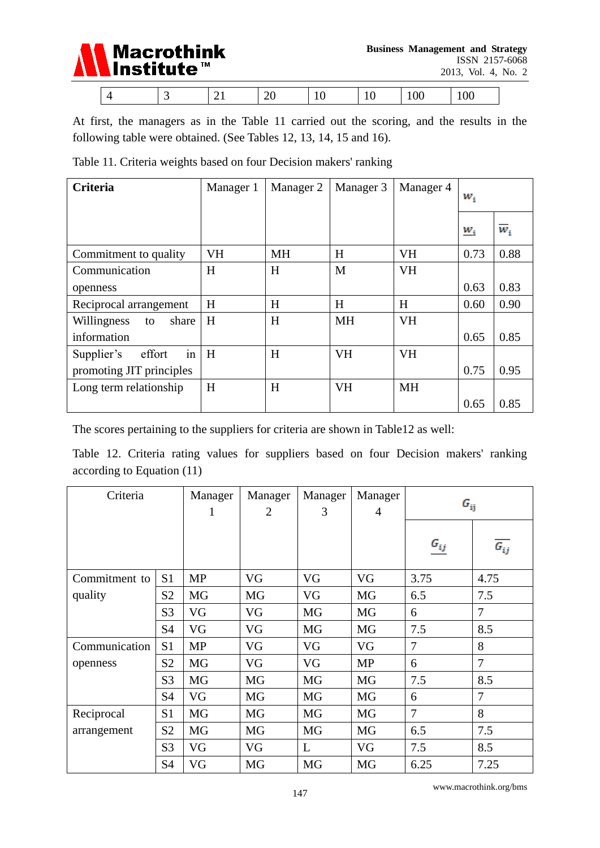

At first, the managers as in the Table 11 carried out the scoring, and the results in the following table were obtained. (See Tables 12, 13, 14, 15 and 16).

| <b>Criteria</b>            | Manager 1 | Manager 2 | Manager 3 | Manager 4 | $W_i$ |                  |
|----------------------------|-----------|-----------|-----------|-----------|-------|------------------|
|                            |           |           |           |           | $w_i$ | $\overline{w_i}$ |
| Commitment to quality      | <b>VH</b> | <b>MH</b> | H         | <b>VH</b> | 0.73  | 0.88             |
| Communication              | H         | H         | M         | <b>VH</b> |       |                  |
| openness                   |           |           |           |           | 0.63  | 0.83             |
| Reciprocal arrangement     | H         | H         | H         | H         | 0.60  | 0.90             |
| Willingness<br>share<br>to | H         | H         | <b>MH</b> | <b>VH</b> |       |                  |
| information                |           |           |           |           | 0.65  | 0.85             |
| effort<br>Supplier's<br>in | H         | H         | <b>VH</b> | <b>VH</b> |       |                  |
| promoting JIT principles   |           |           |           |           | 0.75  | 0.95             |
| Long term relationship     | H         | H         | <b>VH</b> | <b>MH</b> |       |                  |
|                            |           |           |           |           | 0.65  | 0.85             |

Table 11. Criteria weights based on four Decision makers' ranking

The scores pertaining to the suppliers for criteria are shown in Table12 as well:

Table 12. Criteria rating values for suppliers based on four Decision makers' ranking according to Equation (11)

| Criteria      |                | Manager<br>1 | Manager<br>$\overline{2}$ | Manager<br>3 | Manager<br>$\overline{4}$ | $G_{ij}$       |                     |
|---------------|----------------|--------------|---------------------------|--------------|---------------------------|----------------|---------------------|
|               |                |              |                           |              |                           | $G_{ij}$       | $\overline{G_{ij}}$ |
| Commitment to | S <sub>1</sub> | <b>MP</b>    | VG                        | VG           | VG                        | 3.75           | 4.75                |
| quality       | S <sub>2</sub> | <b>MG</b>    | <b>MG</b>                 | VG           | <b>MG</b>                 | 6.5            | 7.5                 |
|               | S <sub>3</sub> | VG           | VG                        | MG           | MG                        | 6              | 7                   |
|               | S <sub>4</sub> | VG           | VG                        | <b>MG</b>    | MG                        | 7.5            | 8.5                 |
| Communication | S <sub>1</sub> | <b>MP</b>    | VG                        | VG           | VG                        | 7              | 8                   |
| openness      | S <sub>2</sub> | <b>MG</b>    | VG                        | VG           | <b>MP</b>                 | 6              | $\overline{7}$      |
|               | S <sub>3</sub> | <b>MG</b>    | MG                        | <b>MG</b>    | <b>MG</b>                 | 7.5            | 8.5                 |
|               | S <sub>4</sub> | VG           | MG                        | MG           | MG                        | 6              | 7                   |
| Reciprocal    | S <sub>1</sub> | <b>MG</b>    | MG                        | <b>MG</b>    | <b>MG</b>                 | $\overline{7}$ | 8                   |
| arrangement   | S <sub>2</sub> | <b>MG</b>    | <b>MG</b>                 | <b>MG</b>    | <b>MG</b>                 | 6.5            | 7.5                 |
|               | S <sub>3</sub> | VG           | VG                        | L            | VG                        | 7.5            | 8.5                 |
|               | S <sub>4</sub> | VG           | <b>MG</b>                 | MG           | <b>MG</b>                 | 6.25           | 7.25                |

www.macrothink.org/bms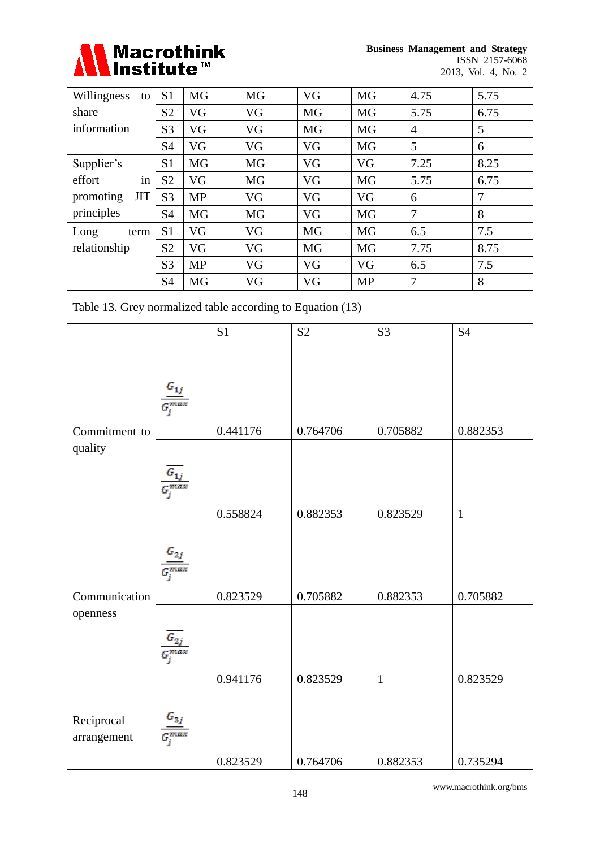

| Willingness<br>to       | S <sub>1</sub> | <b>MG</b> | <b>MG</b> | VG        | <b>MG</b> | 4.75           | 5.75           |
|-------------------------|----------------|-----------|-----------|-----------|-----------|----------------|----------------|
| share                   | S <sub>2</sub> | VG        | <b>VG</b> | <b>MG</b> | <b>MG</b> | 5.75           | 6.75           |
| information             | S <sub>3</sub> | VG        | VG        | <b>MG</b> | <b>MG</b> | $\overline{4}$ | 5              |
|                         | S4             | VG        | VG        | VG        | <b>MG</b> | 5              | 6              |
| Supplier's              | S <sub>1</sub> | <b>MG</b> | <b>MG</b> | <b>VG</b> | VG        | 7.25           | 8.25           |
| effort<br>in            | S <sub>2</sub> | VG        | <b>MG</b> | VG        | <b>MG</b> | 5.75           | 6.75           |
| <b>JIT</b><br>promoting | S <sub>3</sub> | <b>MP</b> | <b>VG</b> | VG        | VG        | 6              | $\overline{7}$ |
| principles              | S4             | <b>MG</b> | <b>MG</b> | VG        | <b>MG</b> | 7              | 8              |
| Long<br>term            | S <sub>1</sub> | VG        | VG        | <b>MG</b> | <b>MG</b> | 6.5            | 7.5            |
| relationship            | S <sub>2</sub> | VG        | <b>VG</b> | <b>MG</b> | <b>MG</b> | 7.75           | 8.75           |
|                         | S <sub>3</sub> | <b>MP</b> | <b>VG</b> | VG        | VG        | 6.5            | 7.5            |
|                         | S <sub>4</sub> | <b>MG</b> | <b>VG</b> | <b>VG</b> | <b>MP</b> | 7              | 8              |

Table 13. Grey normalized table according to Equation (13)

|                           |                                       | S <sub>1</sub> | S <sub>2</sub>       | S <sub>3</sub> | <b>S4</b>                |
|---------------------------|---------------------------------------|----------------|----------------------|----------------|--------------------------|
|                           | $\frac{G_{1j}}{G_j^{max}}$            | 0.441176       | 0.764706             | 0.705882       | 0.882353                 |
| Commitment to<br>quality  | $\frac{G_{1j}}{G_j^{max}}$            | 0.558824       |                      | 0.823529       |                          |
| Communication             | $\frac{G_{2j}}{G_{j}^{max}}$          | 0.823529       | 0.882353<br>0.705882 | 0.882353       | $\mathbf{1}$<br>0.705882 |
| openness                  | $\frac{\overline{G_{2j}}}{G_j^{max}}$ | 0.941176       | 0.823529             | $\mathbf{1}$   | 0.823529                 |
| Reciprocal<br>arrangement | $\frac{G_{3j}}{G_j^{max}}$            | 0.823529       | 0.764706             | 0.882353       | 0.735294                 |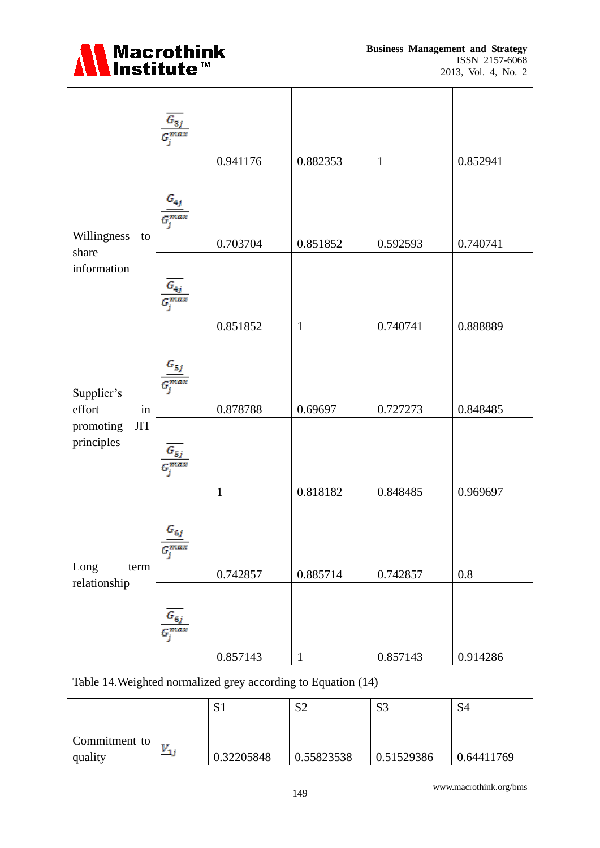

|                                      | $\frac{\overline{G_{3j}}}{G_j^{max}}$ |              |              |              |          |
|--------------------------------------|---------------------------------------|--------------|--------------|--------------|----------|
|                                      |                                       | 0.941176     | 0.882353     | $\mathbf{1}$ | 0.852941 |
| Willingness<br>to<br>share           | $\frac{G_{4j}}{G_j^{max}}$            | 0.703704     | 0.851852     | 0.592593     | 0.740741 |
| information                          | $\frac{G_{4j}}{G_j^{max}}$            | 0.851852     | $\mathbf{1}$ | 0.740741     | 0.888889 |
|                                      |                                       |              |              |              |          |
| Supplier's<br>effort<br>in           | $\frac{G_{5j}}{G_{j}^{max}}$          | 0.878788     | 0.69697      | 0.727273     | 0.848485 |
| $\rm JIT$<br>promoting<br>principles | $G_{5j}$<br>$\frac{J}{G_j^{max}}$     |              |              |              |          |
|                                      |                                       | $\mathbf{1}$ | 0.818182     | 0.848485     | 0.969697 |
| Long<br>term<br>relationship         | $G_{6j}$<br>$G_j^{max}$               | 0.742857     | 0.885714     | 0.742857     | $0.8\,$  |
|                                      | $rac{\overline{G_{6j}}}{G_j^{max}}$   | 0.857143     | $\mathbf{1}$ | 0.857143     | 0.914286 |

Table 14.Weighted normalized grey according to Equation (14)

|                          | υI         | $\mathbf{C}$<br>◡ | S <sub>3</sub> | S4         |
|--------------------------|------------|-------------------|----------------|------------|
| Commitment to<br>quality | 0.32205848 | 0.55823538        | 0.51529386     | 0.64411769 |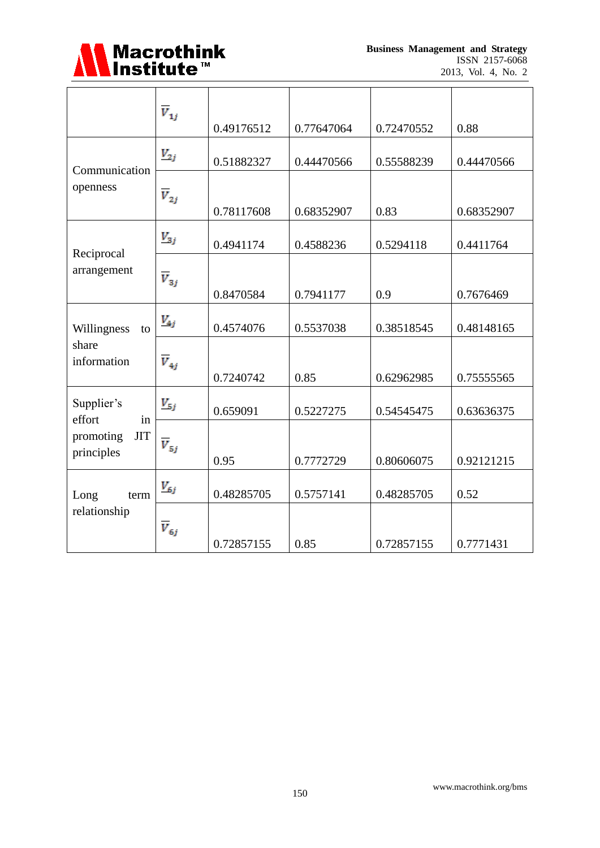

|                                | $\overline{V}_{1j}$         | 0.49176512 | 0.77647064 | 0.72470552 | 0.88       |
|--------------------------------|-----------------------------|------------|------------|------------|------------|
|                                | $V_{2j}$                    | 0.51882327 | 0.44470566 | 0.55588239 | 0.44470566 |
| Communication<br>openness      | $\overline{v}_{2i}$         |            |            |            |            |
|                                |                             | 0.78117608 | 0.68352907 | 0.83       | 0.68352907 |
| Reciprocal                     | $V_{3j}$                    | 0.4941174  | 0.4588236  | 0.5294118  | 0.4411764  |
| arrangement                    | $\overline{v}_{3j}$         |            |            |            |            |
|                                |                             | 0.8470584  | 0.7941177  | 0.9        | 0.7676469  |
| Willingness<br>to              | $V_{4j}$                    | 0.4574076  | 0.5537038  | 0.38518545 | 0.48148165 |
| share<br>information           | $\overline{v}_{4j}$         |            |            |            |            |
|                                |                             | 0.7240742  | 0.85       | 0.62962985 | 0.75555565 |
| Supplier's<br>effort<br>in     | $V_{5j}$                    | 0.659091   | 0.5227275  | 0.54545475 | 0.63636375 |
| JIT<br>promoting<br>principles | $\overline{V}_{5j}$         |            |            |            |            |
|                                |                             | 0.95       | 0.7772729  | 0.80606075 | 0.92121215 |
| Long<br>term                   | $V_{6j}$                    | 0.48285705 | 0.5757141  | 0.48285705 | 0.52       |
| relationship                   | $\overline{v}_{\epsilon_j}$ | 0.72857155 | 0.85       | 0.72857155 | 0.7771431  |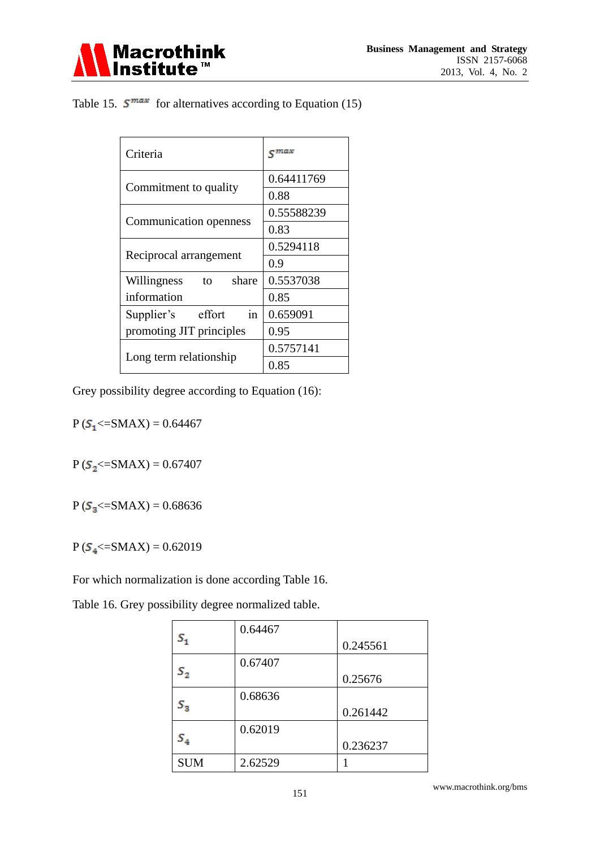

|  |  | Table 15. $S^{max}$ for alternatives according to Equation (15) |  |  |  |
|--|--|-----------------------------------------------------------------|--|--|--|
|--|--|-----------------------------------------------------------------|--|--|--|

| Criteria                   | ·max       |  |
|----------------------------|------------|--|
|                            | 0.64411769 |  |
| Commitment to quality      | 0.88       |  |
|                            | 0.55588239 |  |
| Communication openness     | 0.83       |  |
|                            | 0.5294118  |  |
| Reciprocal arrangement     | 0.9        |  |
| Willingness<br>share<br>to | 0.5537038  |  |
| information                | 0.85       |  |
| Supplier's<br>effort<br>in | 0.659091   |  |
| promoting JIT principles   | 0.95       |  |
|                            | 0.5757141  |  |
| Long term relationship     | 0.85       |  |

Grey possibility degree according to Equation (16):

 $P(S_1 \leq SNAX) = 0.64467$ 

 $P(S_2 \leq = \text{SMAX}) = 0.67407$ 

 $P (S_3 < = SMAX) = 0.68636$ 

 $P(S_4 < = SMAX) = 0.62019$ 

For which normalization is done according Table 16.

|  | Table 16. Grey possibility degree normalized table. |
|--|-----------------------------------------------------|
|--|-----------------------------------------------------|

| s,              | 0.64467 |          |
|-----------------|---------|----------|
|                 |         | 0.245561 |
| $S^{}_{2}$      | 0.67407 |          |
|                 |         | 0.25676  |
| $S_{3}$         | 0.68636 |          |
|                 |         | 0.261442 |
| $\mathcal{S}_4$ | 0.62019 |          |
|                 |         | 0.236237 |
| <b>SUM</b>      | 2.62529 |          |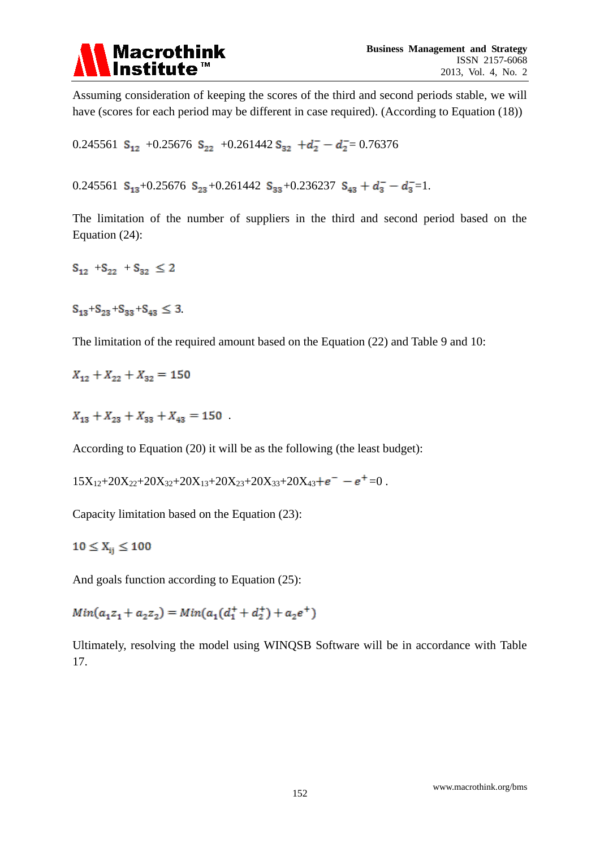

Assuming consideration of keeping the scores of the third and second periods stable, we will have (scores for each period may be different in case required). (According to Equation (18))

0.245561  $S_{12}$  +0.25676  $S_{22}$  +0.261442  $S_{32}$  +d<sub>2</sub> - d<sub>2</sub> = 0.76376

0.245561  $S_{13}+0.25676 S_{23}+0.261442 S_{33}+0.236237 S_{43}+d_3^- - d_3^- =1.$ 

The limitation of the number of suppliers in the third and second period based on the Equation (24):

 $S_{12}$  +  $S_{22}$  +  $S_{32}$   $\leq$  2

 $S_{13} + S_{23} + S_{33} + S_{43} \leq 3.$ 

The limitation of the required amount based on the Equation (22) and Table 9 and 10:

$$
X_{12} + X_{22} + X_{32} = 150
$$

 $X_{13} + X_{23} + X_{33} + X_{43} = 150$ 

According to Equation (20) it will be as the following (the least budget):

 $15X_{12}+20X_{22}+20X_{32}+20X_{13}+20X_{23}+20X_{33}+20X_{43}+e^- - e^+ = 0$ .

Capacity limitation based on the Equation (23):

$$
10 \leq X_{ij} \leq 100
$$

And goals function according to Equation (25):

 $Min(a_1z_1 + a_2z_2) = Min(a_1(d_1^+ + d_2^+) + a_2e^+)$ 

Ultimately, resolving the model using WINQSB Software will be in accordance with Table 17.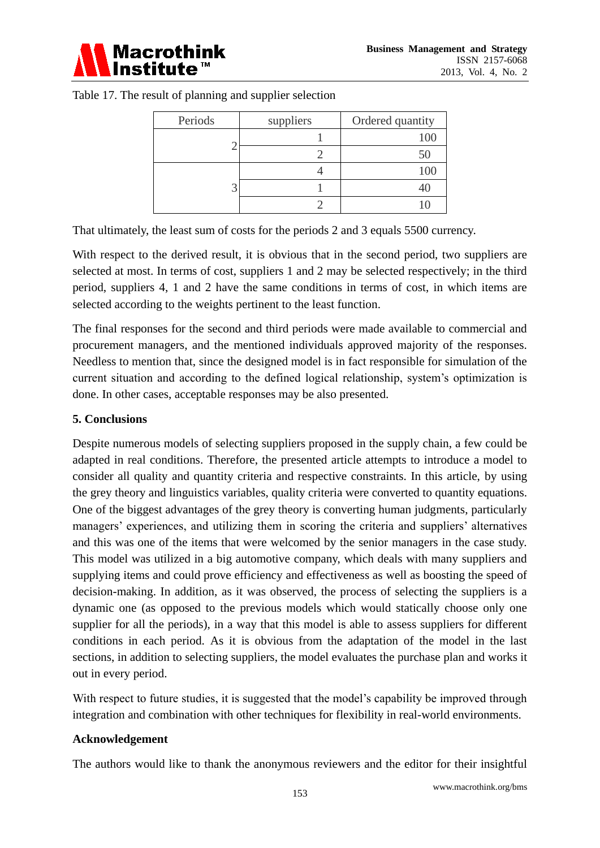

| Periods | suppliers | Ordered quantity |
|---------|-----------|------------------|
|         |           | 100              |
|         |           | 50               |
| ╭       |           | 100              |
|         |           |                  |
|         |           |                  |

Table 17. The result of planning and supplier selection

That ultimately, the least sum of costs for the periods 2 and 3 equals 5500 currency.

With respect to the derived result, it is obvious that in the second period, two suppliers are selected at most. In terms of cost, suppliers 1 and 2 may be selected respectively; in the third period, suppliers 4, 1 and 2 have the same conditions in terms of cost, in which items are selected according to the weights pertinent to the least function.

The final responses for the second and third periods were made available to commercial and procurement managers, and the mentioned individuals approved majority of the responses. Needless to mention that, since the designed model is in fact responsible for simulation of the current situation and according to the defined logical relationship, system's optimization is done. In other cases, acceptable responses may be also presented.

#### **5. Conclusions**

Despite numerous models of selecting suppliers proposed in the supply chain, a few could be adapted in real conditions. Therefore, the presented article attempts to introduce a model to consider all quality and quantity criteria and respective constraints. In this article, by using the grey theory and linguistics variables, quality criteria were converted to quantity equations. One of the biggest advantages of the grey theory is converting human judgments, particularly managers' experiences, and utilizing them in scoring the criteria and suppliers' alternatives and this was one of the items that were welcomed by the senior managers in the case study. This model was utilized in a big automotive company, which deals with many suppliers and supplying items and could prove efficiency and effectiveness as well as boosting the speed of decision-making. In addition, as it was observed, the process of selecting the suppliers is a dynamic one (as opposed to the previous models which would statically choose only one supplier for all the periods), in a way that this model is able to assess suppliers for different conditions in each period. As it is obvious from the adaptation of the model in the last sections, in addition to selecting suppliers, the model evaluates the purchase plan and works it out in every period.

With respect to future studies, it is suggested that the model's capability be improved through integration and combination with other techniques for flexibility in real-world environments.

#### **Acknowledgement**

The authors would like to thank the anonymous reviewers and the editor for their insightful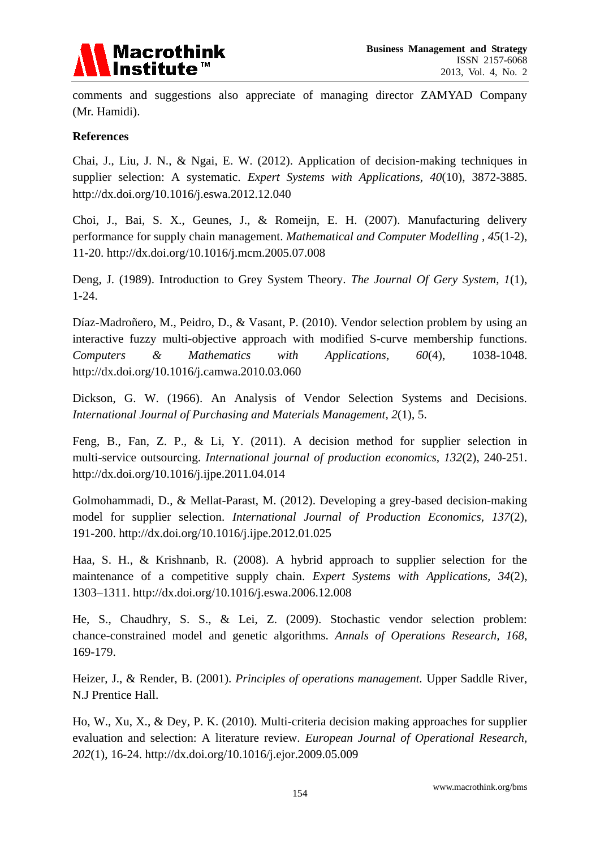

comments and suggestions also appreciate of managing director ZAMYAD Company (Mr. Hamidi).

#### **References**

Chai, J., Liu, J. N., & Ngai, E. W. (2012). Application of decision-making techniques in supplier selection: A systematic. *Expert Systems with Applications, 40*(10), 3872-3885. http://dx.doi.org/10.1016/j.eswa.2012.12.040

Choi, J., Bai, S. X., Geunes, J., & Romeijn, E. H. (2007). Manufacturing delivery performance for supply chain management. *Mathematical and Computer Modelling , 45*(1-2), 11-20. http://dx.doi.org/10.1016/j.mcm.2005.07.008

Deng, J. (1989). Introduction to Grey System Theory. *The Journal Of Gery System, 1*(1), 1-24.

Díaz-Madroñero, M., Peidro, D., & Vasant, P. (2010). Vendor selection problem by using an interactive fuzzy multi-objective approach with modified S-curve membership functions. *Computers & Mathematics with Applications, 60*(4), 1038-1048. <http://dx.doi.org/10.1016/j.camwa.2010.03.060>

Dickson, G. W. (1966). An Analysis of Vendor Selection Systems and Decisions. *International Journal of Purchasing and Materials Management, 2*(1), 5.

Feng, B., Fan, Z. P., & Li, Y. (2011). A decision method for supplier selection in multi-service outsourcing. *International journal of production economics, 132*(2), 240-251. <http://dx.doi.org/10.1016/j.ijpe.2011.04.014>

Golmohammadi, D., & Mellat-Parast, M. (2012). Developing a grey-based decision-making model for supplier selection. *International Journal of Production Economics, 137*(2), 191-200. <http://dx.doi.org/10.1016/j.ijpe.2012.01.025>

Haa, S. H., & Krishnanb, R. (2008). A hybrid approach to supplier selection for the maintenance of a competitive supply chain. *Expert Systems with Applications, 34*(2), 1303–1311. <http://dx.doi.org/10.1016/j.eswa.2006.12.008>

He, S., Chaudhry, S. S., & Lei, Z. (2009). Stochastic vendor selection problem: chance-constrained model and genetic algorithms. *Annals of Operations Research, 168*, 169-179.

Heizer, J., & Render, B. (2001). *Principles of operations management.* Upper Saddle River, N.J Prentice Hall.

Ho, W., Xu, X., & Dey, P. K. (2010). Multi-criteria decision making approaches for supplier evaluation and selection: A literature review. *European Journal of Operational Research, 202*(1), 16-24. <http://dx.doi.org/10.1016/j.ejor.2009.05.009>